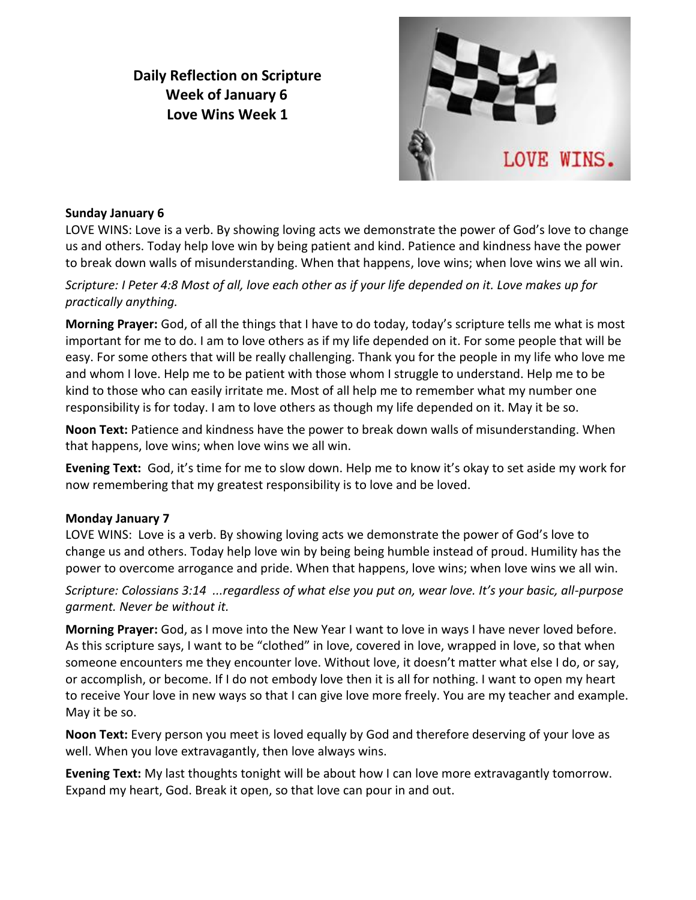# **Daily Reflection on Scripture Week of January 6 Love Wins Week 1**



#### **Sunday January 6**

LOVE WINS: Love is a verb. By showing loving acts we demonstrate the power of God's love to change us and others. Today help love win by being patient and kind. Patience and kindness have the power to break down walls of misunderstanding. When that happens, love wins; when love wins we all win.

## *Scripture: I Peter 4:8 Most of all, love each other as if your life depended on it. Love makes up for practically anything.*

**Morning Prayer:** God, of all the things that I have to do today, today's scripture tells me what is most important for me to do. I am to love others as if my life depended on it. For some people that will be easy. For some others that will be really challenging. Thank you for the people in my life who love me and whom I love. Help me to be patient with those whom I struggle to understand. Help me to be kind to those who can easily irritate me. Most of all help me to remember what my number one responsibility is for today. I am to love others as though my life depended on it. May it be so.

**Noon Text:** Patience and kindness have the power to break down walls of misunderstanding. When that happens, love wins; when love wins we all win.

**Evening Text:** God, it's time for me to slow down. Help me to know it's okay to set aside my work for now remembering that my greatest responsibility is to love and be loved.

#### **Monday January 7**

LOVE WINS: Love is a verb. By showing loving acts we demonstrate the power of God's love to change us and others. Today help love win by being being humble instead of proud. Humility has the power to overcome arrogance and pride. When that happens, love wins; when love wins we all win.

*Scripture: Colossians 3:14 ...regardless of what else you put on, wear love. It's your basic, all-purpose garment. Never be without it.*

**Morning Prayer:** God, as I move into the New Year I want to love in ways I have never loved before. As this scripture says, I want to be "clothed" in love, covered in love, wrapped in love, so that when someone encounters me they encounter love. Without love, it doesn't matter what else I do, or say, or accomplish, or become. If I do not embody love then it is all for nothing. I want to open my heart to receive Your love in new ways so that I can give love more freely. You are my teacher and example. May it be so.

**Noon Text:** Every person you meet is loved equally by God and therefore deserving of your love as well. When you love extravagantly, then love always wins.

**Evening Text:** My last thoughts tonight will be about how I can love more extravagantly tomorrow. Expand my heart, God. Break it open, so that love can pour in and out.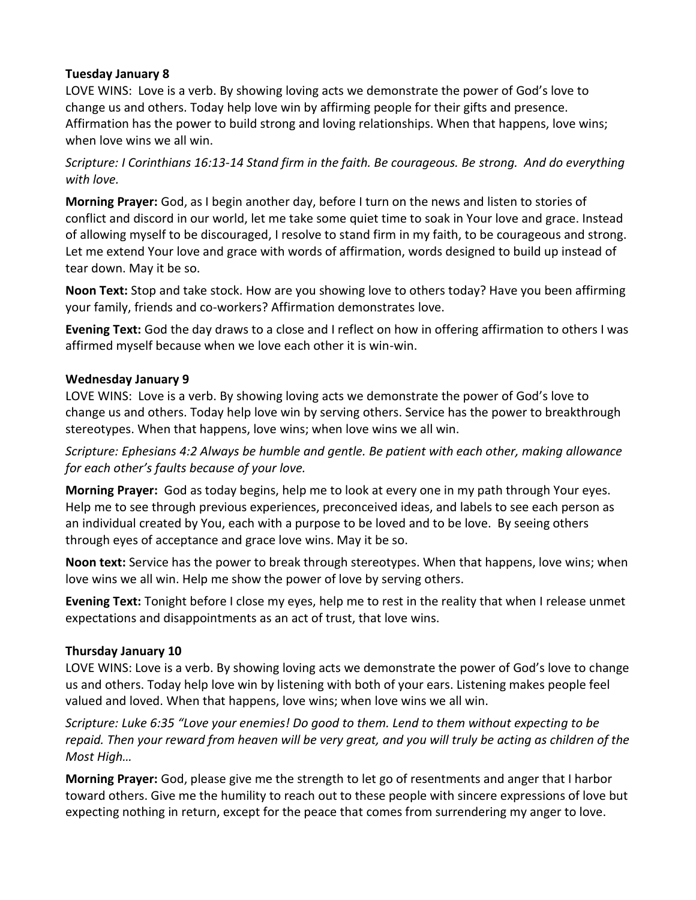#### **Tuesday January 8**

LOVE WINS: Love is a verb. By showing loving acts we demonstrate the power of God's love to change us and others. Today help love win by affirming people for their gifts and presence. Affirmation has the power to build strong and loving relationships. When that happens, love wins; when love wins we all win.

*Scripture: I Corinthians 16:13-14 Stand firm in the faith. Be courageous. Be strong. And do everything with love.*

**Morning Prayer:** God, as I begin another day, before I turn on the news and listen to stories of conflict and discord in our world, let me take some quiet time to soak in Your love and grace. Instead of allowing myself to be discouraged, I resolve to stand firm in my faith, to be courageous and strong. Let me extend Your love and grace with words of affirmation, words designed to build up instead of tear down. May it be so.

**Noon Text:** Stop and take stock. How are you showing love to others today? Have you been affirming your family, friends and co-workers? Affirmation demonstrates love.

**Evening Text:** God the day draws to a close and I reflect on how in offering affirmation to others I was affirmed myself because when we love each other it is win-win.

### **Wednesday January 9**

LOVE WINS: Love is a verb. By showing loving acts we demonstrate the power of God's love to change us and others. Today help love win by serving others. Service has the power to breakthrough stereotypes. When that happens, love wins; when love wins we all win.

*Scripture: Ephesians 4:2 Always be humble and gentle. Be patient with each other, making allowance for each other's faults because of your love.*

**Morning Prayer:** God as today begins, help me to look at every one in my path through Your eyes. Help me to see through previous experiences, preconceived ideas, and labels to see each person as an individual created by You, each with a purpose to be loved and to be love. By seeing others through eyes of acceptance and grace love wins. May it be so.

**Noon text:** Service has the power to break through stereotypes. When that happens, love wins; when love wins we all win. Help me show the power of love by serving others.

**Evening Text:** Tonight before I close my eyes, help me to rest in the reality that when I release unmet expectations and disappointments as an act of trust, that love wins.

#### **Thursday January 10**

LOVE WINS: Love is a verb. By showing loving acts we demonstrate the power of God's love to change us and others. Today help love win by listening with both of your ears. Listening makes people feel valued and loved. When that happens, love wins; when love wins we all win.

*Scripture: Luke 6:35 "Love your enemies! Do good to them. Lend to them without expecting to be repaid. Then your reward from heaven will be very great, and you will truly be acting as children of the Most High…*

**Morning Prayer:** God, please give me the strength to let go of resentments and anger that I harbor toward others. Give me the humility to reach out to these people with sincere expressions of love but expecting nothing in return, except for the peace that comes from surrendering my anger to love.